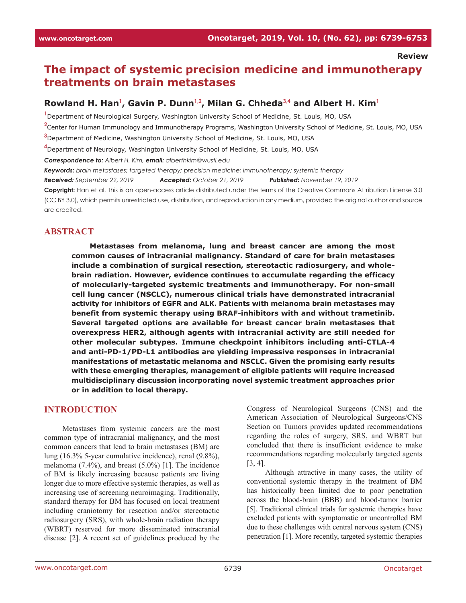# **The impact of systemic precision medicine and immunotherapy treatments on brain metastases**

# **Rowland H. Han<sup>1</sup> , Gavin P. Dunn1,2 , Milan G. Chheda3,4 and Albert H. Kim<sup>1</sup>**

**1** Department of Neurological Surgery, Washington University School of Medicine, St. Louis, MO, USA

**2** Center for Human Immunology and Immunotherapy Programs, Washington University School of Medicine, St. Louis, MO, USA

**3** Department of Medicine, Washington University School of Medicine, St. Louis, MO, USA

**4** Department of Neurology, Washington University School of Medicine, St. Louis, MO, USA

*Correspondence to: Albert H. Kim, email: alberthkim@wustl.edu*

*Keywords: brain metastases; targeted therapy; precision medicine; immunotherapy; systemic therapy*

*Received: September 22, 2019 Accepted: October 21, 2019 Published: November 19, 2019*

**Copyright:** Han et al. This is an open-access article distributed under the terms of the Creative Commons Attribution License 3.0 (CC BY 3.0), which permits unrestricted use, distribution, and reproduction in any medium, provided the original author and source are credited.

#### **ABSTRACT**

**Metastases from melanoma, lung and breast cancer are among the most common causes of intracranial malignancy. Standard of care for brain metastases include a combination of surgical resection, stereotactic radiosurgery, and wholebrain radiation. However, evidence continues to accumulate regarding the efficacy of molecularly-targeted systemic treatments and immunotherapy. For non-small cell lung cancer (NSCLC), numerous clinical trials have demonstrated intracranial activity for inhibitors of EGFR and ALK. Patients with melanoma brain metastases may benefit from systemic therapy using BRAF-inhibitors with and without trametinib. Several targeted options are available for breast cancer brain metastases that overexpress HER2, although agents with intracranial activity are still needed for other molecular subtypes. Immune checkpoint inhibitors including anti-CTLA-4 and anti-PD-1/PD-L1 antibodies are yielding impressive responses in intracranial manifestations of metastatic melanoma and NSCLC. Given the promising early results with these emerging therapies, management of eligible patients will require increased multidisciplinary discussion incorporating novel systemic treatment approaches prior or in addition to local therapy.**

#### **INTRODUCTION**

Metastases from systemic cancers are the most common type of intracranial malignancy, and the most common cancers that lead to brain metastases (BM) are lung (16.3% 5-year cumulative incidence), renal (9.8%), melanoma (7.4%), and breast (5.0%) [1]. The incidence of BM is likely increasing because patients are living longer due to more effective systemic therapies, as well as increasing use of screening neuroimaging. Traditionally, standard therapy for BM has focused on local treatment including craniotomy for resection and/or stereotactic radiosurgery (SRS), with whole-brain radiation therapy (WBRT) reserved for more disseminated intracranial disease [2]. A recent set of guidelines produced by the

Congress of Neurological Surgeons (CNS) and the American Association of Neurological Surgeons/CNS Section on Tumors provides updated recommendations regarding the roles of surgery, SRS, and WBRT but concluded that there is insufficient evidence to make recommendations regarding molecularly targeted agents [3, 4].

Although attractive in many cases, the utility of conventional systemic therapy in the treatment of BM has historically been limited due to poor penetration across the blood-brain (BBB) and blood-tumor barrier [5]. Traditional clinical trials for systemic therapies have excluded patients with symptomatic or uncontrolled BM due to these challenges with central nervous system (CNS) penetration [1]. More recently, targeted systemic therapies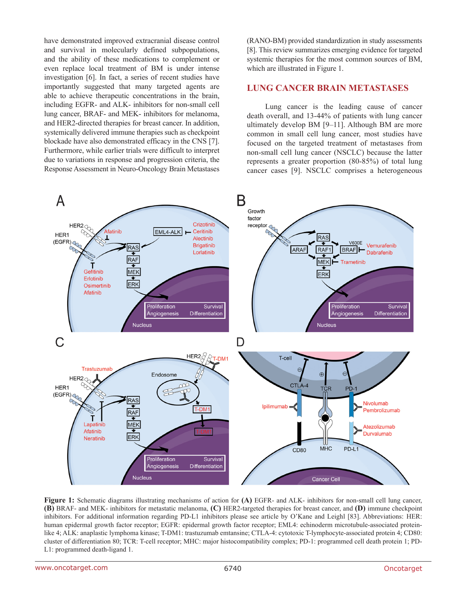have demonstrated improved extracranial disease control and survival in molecularly defined subpopulations, and the ability of these medications to complement or even replace local treatment of BM is under intense investigation [6]. In fact, a series of recent studies have importantly suggested that many targeted agents are able to achieve therapeutic concentrations in the brain, including EGFR- and ALK- inhibitors for non-small cell lung cancer, BRAF- and MEK- inhibitors for melanoma, and HER2-directed therapies for breast cancer. In addition, systemically delivered immune therapies such as checkpoint blockade have also demonstrated efficacy in the CNS [7]. Furthermore, while earlier trials were difficult to interpret due to variations in response and progression criteria, the Response Assessment in Neuro-Oncology Brain Metastases (RANO-BM) provided standardization in study assessments [8]. This review summarizes emerging evidence for targeted systemic therapies for the most common sources of BM, which are illustrated in Figure 1.

#### **LUNG CANCER BRAIN METASTASES**

Lung cancer is the leading cause of cancer death overall, and 13-44% of patients with lung cancer ultimately develop BM [9–11]. Although BM are more common in small cell lung cancer, most studies have focused on the targeted treatment of metastases from non-small cell lung cancer (NSCLC) because the latter represents a greater proportion (80-85%) of total lung cancer cases [9]. NSCLC comprises a heterogeneous



**Figure 1:** Schematic diagrams illustrating mechanisms of action for **(A)** EGFR- and ALK- inhibitors for non-small cell lung cancer, **(B)** BRAF- and MEK- inhibitors for metastatic melanoma, **(C)** HER2-targeted therapies for breast cancer, and **(D)** immune checkpoint inhibitors. For additional information regarding PD-L1 inhibitors please see article by O'Kane and Leighl [83]. Abbreviations: HER: human epidermal growth factor receptor; EGFR: epidermal growth factor receptor; EML4: echinoderm microtubule-associated proteinlike 4; ALK: anaplastic lymphoma kinase; T-DM1: trastuzumab emtansine; CTLA-4: cytotoxic T-lymphocyte-associated protein 4; CD80: cluster of differentiation 80; TCR: T-cell receptor; MHC: major histocompatibility complex; PD-1: programmed cell death protein 1; PD-L1: programmed death-ligand 1.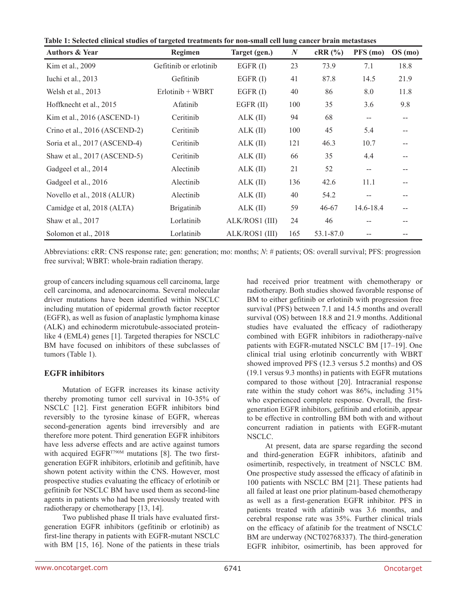| Table 1: Selected clinical studies of targeted treatments for non-small cell lung cancer brain metastases |  |  |
|-----------------------------------------------------------------------------------------------------------|--|--|
|                                                                                                           |  |  |

| <b>Authors &amp; Year</b>     | Regimen                | Target (gen.)  | $\boldsymbol{N}$ | $cRR$ (%) | PFS (mo)  | OS(mo) |
|-------------------------------|------------------------|----------------|------------------|-----------|-----------|--------|
| Kim et al., 2009              | Gefitinib or erlotinib | EGFR(I)        | 23               | 73.9      | 7.1       | 18.8   |
| Iuchi et al., 2013            | Gefitinib              | EGFR $(I)$     | 41               | 87.8      | 14.5      | 21.9   |
| Welsh et al., 2013            | $Erlotinib + WBRT$     | EGFR $(I)$     | 40               | 86        | 8.0       | 11.8   |
| Hoffknecht et al., 2015       | Afatinib               | $EGFR$ (II)    | 100              | 35        | 3.6       | 9.8    |
| Kim et al., 2016 (ASCEND-1)   | Ceritinib              | $ALK$ (II)     | 94               | 68        | --        | $-$    |
| Crino et al., 2016 (ASCEND-2) | Ceritinib              | $ALK$ (II)     | 100              | 45        | 5.4       | --     |
| Soria et al., 2017 (ASCEND-4) | Ceritinib              | $ALK$ (II)     | 121              | 46.3      | 10.7      | --     |
| Shaw et al., 2017 (ASCEND-5)  | Ceritinib              | $ALK$ (II)     | 66               | 35        | 4.4       | --     |
| Gadgeel et al., 2014          | Alectinib              | $ALK$ (II)     | 21               | 52        | $-$       | --     |
| Gadgeel et al., 2016          | Alectinib              | $ALK$ (II)     | 136              | 42.6      | 11.1      | --     |
| Novello et al., 2018 (ALUR)   | Alectinib              | $ALK$ (II)     | 40               | 54.2      | $-$       | --     |
| Camidge et al, 2018 (ALTA)    | <b>Brigatinib</b>      | $ALK$ (II)     | 59               | $46 - 67$ | 14.6-18.4 | --     |
| Shaw et al., 2017             | Lorlatinib             | ALK/ROS1 (III) | 24               | 46        |           |        |
| Solomon et al., 2018          | Lorlatinib             | ALK/ROS1 (III) | 165              | 53.1-87.0 |           |        |

Abbreviations: cRR: CNS response rate; gen: generation; mo: months; *N*: # patients; OS: overall survival; PFS: progression free survival; WBRT: whole-brain radiation therapy.

group of cancers including squamous cell carcinoma, large cell carcinoma, and adenocarcinoma. Several molecular driver mutations have been identified within NSCLC including mutation of epidermal growth factor receptor (EGFR), as well as fusion of anaplastic lymphoma kinase (ALK) and echinoderm microtubule-associated proteinlike 4 (EML4) genes [1]. Targeted therapies for NSCLC BM have focused on inhibitors of these subclasses of tumors (Table 1).

## **EGFR inhibitors**

Mutation of EGFR increases its kinase activity thereby promoting tumor cell survival in 10-35% of NSCLC [12]. First generation EGFR inhibitors bind reversibly to the tyrosine kinase of EGFR, whereas second-generation agents bind irreversibly and are therefore more potent. Third generation EGFR inhibitors have less adverse effects and are active against tumors with acquired EGFR<sup>T790M</sup> mutations [8]. The two firstgeneration EGFR inhibitors, erlotinib and gefitinib, have shown potent activity within the CNS. However, most prospective studies evaluating the efficacy of erlotinib or gefitinib for NSCLC BM have used them as second-line agents in patients who had been previously treated with radiotherapy or chemotherapy [13, 14].

Two published phase II trials have evaluated firstgeneration EGFR inhibitors (gefitinib or erlotinib) as first-line therapy in patients with EGFR-mutant NSCLC with BM [15, 16]. None of the patients in these trials had received prior treatment with chemotherapy or radiotherapy. Both studies showed favorable response of BM to either gefitinib or erlotinib with progression free survival (PFS) between 7.1 and 14.5 months and overall survival (OS) between 18.8 and 21.9 months. Additional studies have evaluated the efficacy of radiotherapy combined with EGFR inhibitors in radiotherapy-naïve patients with EGFR-mutated NSCLC BM [17–19]. One clinical trial using erlotinib concurrently with WBRT showed improved PFS (12.3 versus 5.2 months) and OS (19.1 versus 9.3 months) in patients with EGFR mutations compared to those without [20]. Intracranial response rate within the study cohort was 86%, including 31% who experienced complete response. Overall, the firstgeneration EGFR inhibitors, gefitinib and erlotinib, appear to be effective in controlling BM both with and without concurrent radiation in patients with EGFR-mutant NSCLC.

At present, data are sparse regarding the second and third-generation EGFR inhibitors, afatinib and osimertinib, respectively, in treatment of NSCLC BM. One prospective study assessed the efficacy of afatinib in 100 patients with NSCLC BM [21]. These patients had all failed at least one prior platinum-based chemotherapy as well as a first-generation EGFR inhibitor. PFS in patients treated with afatinib was 3.6 months, and cerebral response rate was 35%. Further clinical trials on the efficacy of afatinib for the treatment of NSCLC BM are underway (NCT02768337). The third-generation EGFR inhibitor, osimertinib, has been approved for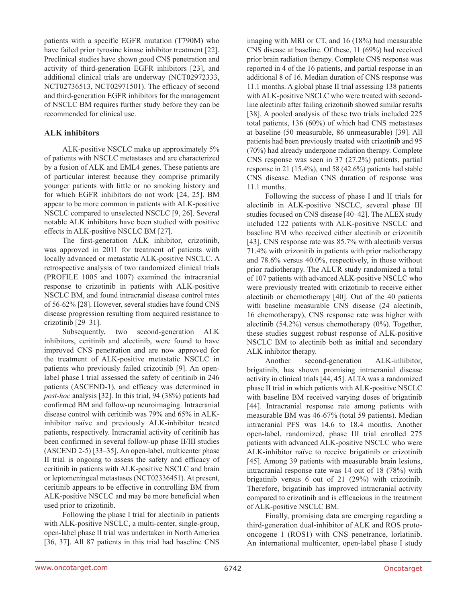patients with a specific EGFR mutation (T790M) who have failed prior tyrosine kinase inhibitor treatment [22]. Preclinical studies have shown good CNS penetration and activity of third-generation EGFR inhibitors [23], and additional clinical trials are underway (NCT02972333, NCT02736513, NCT02971501). The efficacy of second and third-generation EGFR inhibitors for the management of NSCLC BM requires further study before they can be recommended for clinical use.

#### **ALK inhibitors**

ALK-positive NSCLC make up approximately 5% of patients with NSCLC metastases and are characterized by a fusion of ALK and EML4 genes. These patients are of particular interest because they comprise primarily younger patients with little or no smoking history and for which EGFR inhibitors do not work [24, 25]. BM appear to be more common in patients with ALK-positive NSCLC compared to unselected NSCLC [9, 26]. Several notable ALK inhibitors have been studied with positive effects in ALK-positive NSCLC BM [27].

The first-generation ALK inhibitor, crizotinib, was approved in 2011 for treatment of patients with locally advanced or metastatic ALK-positive NSCLC. A retrospective analysis of two randomized clinical trials (PROFILE 1005 and 1007) examined the intracranial response to crizotinib in patients with ALK-positive NSCLC BM, and found intracranial disease control rates of 56-62% [28]. However, several studies have found CNS disease progression resulting from acquired resistance to crizotinib [29–31].

Subsequently, two second-generation ALK inhibitors, ceritinib and alectinib, were found to have improved CNS penetration and are now approved for the treatment of ALK-positive metastatic NSCLC in patients who previously failed crizotinib [9]. An openlabel phase I trial assessed the safety of ceritinib in 246 patients (ASCEND-1), and efficacy was determined in *post-hoc* analysis [32]. In this trial, 94 (38%) patients had confirmed BM and follow-up neuroimaging. Intracranial disease control with ceritinib was 79% and 65% in ALKinhibitor naïve and previously ALK-inhibitor treated patients, respectively. Intracranial activity of ceritinib has been confirmed in several follow-up phase II/III studies (ASCEND 2-5) [33–35]. An open-label, multicenter phase II trial is ongoing to assess the safety and efficacy of ceritinib in patients with ALK-positive NSCLC and brain or leptomeningeal metastases (NCT02336451). At present, ceritinib appears to be effective in controlling BM from ALK-positive NSCLC and may be more beneficial when used prior to crizotinib.

Following the phase I trial for alectinib in patients with ALK-positive NSCLC, a multi-center, single-group, open-label phase II trial was undertaken in North America [36, 37]. All 87 patients in this trial had baseline CNS imaging with MRI or CT, and 16 (18%) had measurable CNS disease at baseline. Of these, 11 (69%) had received prior brain radiation therapy. Complete CNS response was reported in 4 of the 16 patients, and partial response in an additional 8 of 16. Median duration of CNS response was 11.1 months. A global phase II trial assessing 138 patients with ALK-positive NSCLC who were treated with secondline alectinib after failing crizotinib showed similar results [38]. A pooled analysis of these two trials included 225 total patients, 136 (60%) of which had CNS metastases at baseline (50 measurable, 86 unmeasurable) [39]. All patients had been previously treated with crizotinib and 95 (70%) had already undergone radiation therapy. Complete CNS response was seen in 37 (27.2%) patients, partial response in 21 (15.4%), and 58 (42.6%) patients had stable CNS disease. Median CNS duration of response was 11.1 months.

Following the success of phase I and II trials for alectinib in ALK-positive NSCLC, several phase III studies focused on CNS disease [40–42]. The ALEX study included 122 patients with ALK-positive NSCLC and baseline BM who received either alectinib or crizonitib [43]. CNS response rate was 85.7% with alectinib versus 71.4% with crizonitib in patients with prior radiotherapy and 78.6% versus 40.0%, respectively, in those without prior radiotherapy. The ALUR study randomized a total of 107 patients with advanced ALK-positive NSCLC who were previously treated with crizotinib to receive either alectinib or chemotherapy [40]. Out of the 40 patients with baseline measurable CNS disease (24 alectinib, 16 chemotherapy), CNS response rate was higher with alectinib (54.2%) versus chemotherapy (0%). Together, these studies suggest robust response of ALK-positive NSCLC BM to alectinib both as initial and secondary ALK inhibitor therapy.

Another second-generation ALK-inhibitor, brigatinib, has shown promising intracranial disease activity in clinical trials [44, 45]. ALTA was a randomized phase II trial in which patients with ALK-positive NSCLC with baseline BM received varying doses of brigatinib [44]. Intracranial response rate among patients with measurable BM was 46-67% (total 59 patients). Median intracranial PFS was 14.6 to 18.4 months. Another open-label, randomized, phase III trial enrolled 275 patients with advanced ALK-positive NSCLC who were ALK-inhibitor naïve to receive brigatinib or crizotinib [45]. Among 39 patients with measurable brain lesions, intracranial response rate was 14 out of 18 (78%) with brigatinib versus 6 out of 21 (29%) with crizotinib. Therefore, brigatinib has improved intracranial activity compared to crizotinib and is efficacious in the treatment of ALK-positive NSCLC BM.

Finally, promising data are emerging regarding a third-generation dual-inhibitor of ALK and ROS protooncogene 1 (ROS1) with CNS penetrance, lorlatinib. An international multicenter, open-label phase I study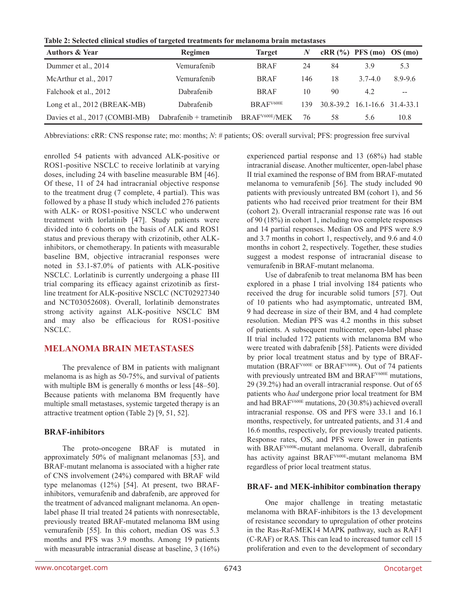**Table 2: Selected clinical studies of targeted treatments for melanoma brain metastases**

| <b>Authors &amp; Year</b>      | <b>Regimen</b>          | <b>Target</b>              | N   |    | $cRR$ (%) PFS (mo) OS (mo)    |         |
|--------------------------------|-------------------------|----------------------------|-----|----|-------------------------------|---------|
| Dummer et al., 2014            | Vemurafenib             | <b>BRAF</b>                | 24  | 84 | 3.9                           | 5.3     |
| McArthur et al., 2017          | Vemurafenib             | <b>BRAF</b>                | 146 | 18 | $3.7 - 4.0$                   | 8.9-9.6 |
| Falchook et al., 2012          | Dabrafenib              | <b>BRAF</b>                | 10  | 90 | 4.2                           | --      |
| Long et al., 2012 (BREAK-MB)   | Dabrafenib              | BRAF <sup>V600E</sup>      | 139 |    | 30.8-39.2 16.1-16.6 31.4-33.1 |         |
| Davies et al., 2017 (COMBI-MB) | Dabrafenib + trametinib | BRAF <sup>V600E</sup> /MEK | 76  | 58 | 5.6                           | 10.8    |

Abbreviations: cRR: CNS response rate; mo: months; *N*: # patients; OS: overall survival; PFS: progression free survival

enrolled 54 patients with advanced ALK-positive or ROS1-positive NSCLC to receive lorlatinib at varying doses, including 24 with baseline measurable BM [46]. Of these, 11 of 24 had intracranial objective response to the treatment drug (7 complete, 4 partial). This was followed by a phase II study which included 276 patients with ALK- or ROS1-positive NSCLC who underwent treatment with lorlatinib [47]. Study patients were divided into 6 cohorts on the basis of ALK and ROS1 status and previous therapy with crizotinib, other ALKinhibitors, or chemotherapy. In patients with measurable baseline BM, objective intracranial responses were noted in 53.1-87.0% of patients with ALK-positive NSCLC. Lorlatinib is currently undergoing a phase III trial comparing its efficacy against crizotinib as firstline treatment for ALK-positive NSCLC (NCT02927340 and NCT03052608). Overall, lorlatinib demonstrates strong activity against ALK-positive NSCLC BM and may also be efficacious for ROS1-positive NSCLC.

# **MELANOMA BRAIN METASTASES**

The prevalence of BM in patients with malignant melanoma is as high as 50-75%, and survival of patients with multiple BM is generally 6 months or less [48–50]. Because patients with melanoma BM frequently have multiple small metastases, systemic targeted therapy is an attractive treatment option (Table 2) [9, 51, 52].

## **BRAF-inhibitors**

The proto-oncogene BRAF is mutated in approximately 50% of malignant melanomas [53], and BRAF-mutant melanoma is associated with a higher rate of CNS involvement (24%) compared with BRAF wild type melanomas (12%) [54]. At present, two BRAFinhibitors, vemurafenib and dabrafenib, are approved for the treatment of advanced malignant melanoma. An openlabel phase II trial treated 24 patients with nonresectable, previously treated BRAF-mutated melanoma BM using vemurafenib [55]. In this cohort, median OS was 5.3 months and PFS was 3.9 months. Among 19 patients with measurable intracranial disease at baseline, 3 (16%) experienced partial response and 13 (68%) had stable intracranial disease. Another multicenter, open-label phase II trial examined the response of BM from BRAF-mutated melanoma to vemurafenib [56]. The study included 90 patients with previously untreated BM (cohort 1), and 56 patients who had received prior treatment for their BM (cohort 2). Overall intracranial response rate was 16 out of 90 (18%) in cohort 1, including two complete responses and 14 partial responses. Median OS and PFS were 8.9 and 3.7 months in cohort 1, respectively, and 9.6 and 4.0 months in cohort 2, respectively. Together, these studies suggest a modest response of intracranial disease to vemurafenib in BRAF-mutant melanoma.

Use of dabrafenib to treat melanoma BM has been explored in a phase I trial involving 184 patients who received the drug for incurable solid tumors [57]. Out of 10 patients who had asymptomatic, untreated BM, 9 had decrease in size of their BM, and 4 had complete resolution. Median PFS was 4.2 months in this subset of patients. A subsequent multicenter, open-label phase II trial included 172 patients with melanoma BM who were treated with dabrafenib [58]. Patients were divided by prior local treatment status and by type of BRAFmutation (BRAF<sup>V600E</sup> or BRAF<sup>V600K</sup>). Out of 74 patients with previously untreated BM and BRAF<sup>V600E</sup> mutations, 29 (39.2%) had an overall intracranial response. Out of 65 patients who *had* undergone prior local treatment for BM and had BRAFV600E mutations, 20 (30.8%) achieved overall intracranial response. OS and PFS were 33.1 and 16.1 months, respectively, for untreated patients, and 31.4 and 16.6 months, respectively, for previously treated patients. Response rates, OS, and PFS were lower in patients with BRAFV600K-mutant melanoma. Overall, dabrafenib has activity against BRAFV600E-mutant melanoma BM regardless of prior local treatment status.

## **BRAF- and MEK-inhibitor combination therapy**

One major challenge in treating metastatic melanoma with BRAF-inhibitors is the 13 development of resistance secondary to upregulation of other proteins in the Ras-Raf-MEK14 MAPK pathway, such as RAF1 (C-RAF) or RAS. This can lead to increased tumor cell 15 proliferation and even to the development of secondary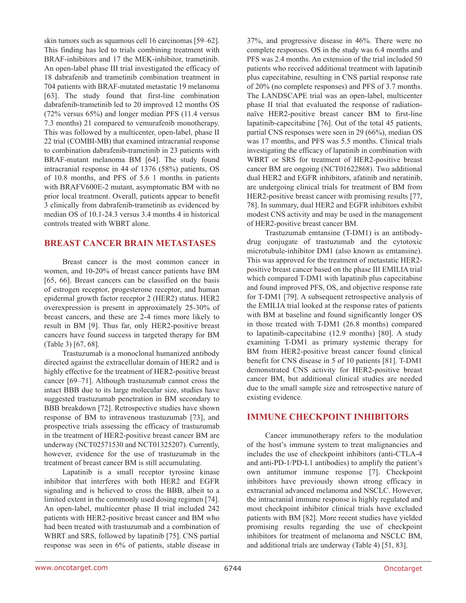skin tumors such as squamous cell 16 carcinomas [59–62]. This finding has led to trials combining treatment with BRAF-inhibitors and 17 the MEK-inhibitor, trametinib. An open-label phase III trial investigated the efficacy of 18 dabrafenib and trametinib combination treatment in 704 patients with BRAF-mutated metastatic 19 melanoma [63]. The study found that first-line combination dabrafenib-trametinib led to 20 improved 12 months OS (72% versus 65%) and longer median PFS (11.4 versus 7.3 months) 21 compared to vemurafenib monotherapy. This was followed by a multicenter, open-label, phase II 22 trial (COMBI-MB) that examined intracranial response to combination dabrafenib-trametinib in 23 patients with BRAF-mutant melanoma BM [64]. The study found intracranial response in 44 of 1376 (58%) patients, OS of 10.8 months, and PFS of 5.6 1 months in patients with BRAFV600E-2 mutant, asymptomatic BM with no prior local treatment. Overall, patients appear to benefit 3 clinically from dabrafenib-trametinib as evidenced by median OS of 10.1-24.3 versus 3.4 months 4 in historical controls treated with WBRT alone.

#### **BREAST CANCER BRAIN METASTASES**

Breast cancer is the most common cancer in women, and 10-20% of breast cancer patients have BM [65, 66]. Breast cancers can be classified on the basis of estrogen receptor, progesterone receptor, and human epidermal growth factor receptor 2 (HER2) status. HER2 overexpression is present in approximately 25-30% of breast cancers, and these are 2-4 times more likely to result in BM [9]. Thus far, only HER2-positive breast cancers have found success in targeted therapy for BM (Table 3) [67, 68].

Trastuzumab is a monoclonal humanized antibody directed against the extracellular domain of HER2 and is highly effective for the treatment of HER2-positive breast cancer [69–71]. Although trastuzumab cannot cross the intact BBB due to its large molecular size, studies have suggested trastuzumab penetration in BM secondary to BBB breakdown [72]. Retrospective studies have shown response of BM to intravenous trastuzumab [73], and prospective trials assessing the efficacy of trastuzumab in the treatment of HER2-positive breast cancer BM are underway (NCT02571530 and NCT01325207). Currently, however, evidence for the use of trastuzumab in the treatment of breast cancer BM is still accumulating.

Lapatinib is a small receptor tyrosine kinase inhibitor that interferes with both HER2 and EGFR signaling and is believed to cross the BBB, albeit to a limited extent in the commonly used dosing regimen [74]. An open-label, multicenter phase II trial included 242 patients with HER2-positive breast cancer and BM who had been treated with trastuzumab and a combination of WBRT and SRS, followed by lapatinib [75]. CNS partial response was seen in 6% of patients, stable disease in

37%, and progressive disease in 46%. There were no complete responses. OS in the study was 6.4 months and PFS was 2.4 months. An extension of the trial included 50 patients who received additional treatment with lapatinib plus capecitabine, resulting in CNS partial response rate of 20% (no complete responses) and PFS of 3.7 months. The LANDSCAPE trial was an open-label, multicenter phase II trial that evaluated the response of radiationnaïve HER2-positive breast cancer BM to first-line lapatinib-capecitabine [76]. Out of the total 45 patients, partial CNS responses were seen in 29 (66%), median OS was 17 months, and PFS was 5.5 months. Clinical trials investigating the efficacy of lapatinib in combination with WBRT or SRS for treatment of HER2-positive breast cancer BM are ongoing (NCT01622868). Two additional dual HER2 and EGFR inhibitors, afatinib and neratinib, are undergoing clinical trials for treatment of BM from HER2-positive breast cancer with promising results [77, 78]. In summary, dual HER2 and EGFR inhibitors exhibit modest CNS activity and may be used in the management of HER2-positive breast cancer BM.

Trastuzumab emtansine (T-DM1) is an antibodydrug conjugate of trastuzumab and the cytotoxic microtubule-inhibitor DM1 (also known as emtansine). This was approved for the treatment of metastatic HER2 positive breast cancer based on the phase III EMILIA trial which compared T-DM1 with lapatinib plus capecitabine and found improved PFS, OS, and objective response rate for T-DM1 [79]. A subsequent retrospective analysis of the EMILIA trial looked at the response rates of patients with BM at baseline and found significantly longer OS in those treated with T-DM1 (26.8 months) compared to lapatinib-capecitabine (12.9 months) [80]. A study examining T-DM1 as primary systemic therapy for BM from HER2-positive breast cancer found clinical benefit for CNS disease in 5 of 10 patients [81]. T-DM1 demonstrated CNS activity for HER2-positive breast cancer BM, but additional clinical studies are needed due to the small sample size and retrospective nature of existing evidence.

## **IMMUNE CHECKPOINT INHIBITORS**

Cancer immunotherapy refers to the modulation of the host's immune system to treat malignancies and includes the use of checkpoint inhibitors (anti-CTLA-4 and anti-PD-1/PD-L1 antibodies) to amplify the patient's own antitumor immune response [7]. Checkpoint inhibitors have previously shown strong efficacy in extracranial advanced melanoma and NSCLC. However, the intracranial immune response is highly regulated and most checkpoint inhibitor clinical trials have excluded patients with BM [82]. More recent studies have yielded promising results regarding the use of checkpoint inhibitors for treatment of melanoma and NSCLC BM, and additional trials are underway (Table 4) [51, 83].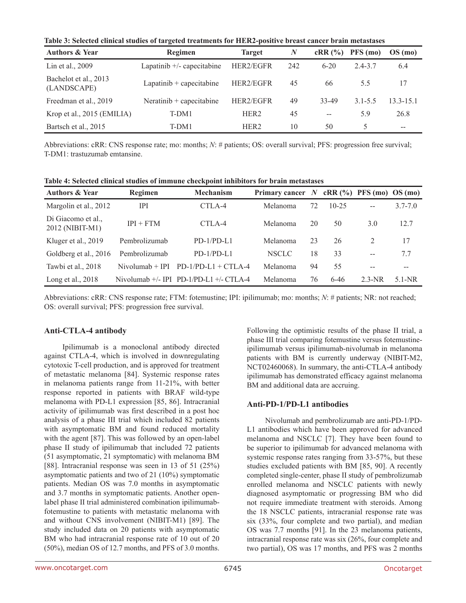**Table 3: Selected clinical studies of targeted treatments for HER2-positive breast cancer brain metastases**

| <b>Authors &amp; Year</b>            | Regimen                      | <b>Target</b>    | N   | cRR(%)   | PFS (mo)    | OS(mo)                                |
|--------------------------------------|------------------------------|------------------|-----|----------|-------------|---------------------------------------|
| Lin et al., 2009                     | Lapatinib $+/-$ capecitabine | HER2/EGFR        | 242 | $6 - 20$ | 24-37       | 6.4                                   |
| Bachelot et al., 2013<br>(LANDSCAPE) | Lapatinib $+$ capecitabine   | HER2/EGFR        | 45  | 66       | 5.5         | 17                                    |
| Freedman et al., 2019                | Neratinib $+$ capecitabine   | HER2/EGFR        | 49  | 33-49    | $3.1 - 5.5$ | $13.3 - 15.1$                         |
| Krop et al., 2015 (EMILIA)           | T-DM1                        | HER <sub>2</sub> | 45  | $- -$    | 5.9         | 26.8                                  |
| Bartsch et al., 2015                 | T-DM1                        | HER <sub>2</sub> | 10  | 50       | 5           | $\hspace{0.05cm}$ – $\hspace{0.05cm}$ |

Abbreviations: cRR: CNS response rate; mo: months; *N*: # patients; OS: overall survival; PFS: progression free survival; T-DM1: trastuzumab emtansine.

| <b>Authors &amp; Year</b>             | Regimen           | <b>Mechanism</b>                            | Primary cancer $N$ cRR $(\%)$ PFS (mo) OS (mo) |    |           |                |             |  |
|---------------------------------------|-------------------|---------------------------------------------|------------------------------------------------|----|-----------|----------------|-------------|--|
| Margolin et al., 2012                 | IPI               | CTLA-4                                      | Melanoma                                       | 72 | $10 - 25$ | $-$            | $3.7 - 7.0$ |  |
| Di Giacomo et al.,<br>2012 (NIBIT-M1) | $IPI + FTM$       | CTLA-4                                      | Melanoma                                       | 20 | 50        | 3.0            | 12.7        |  |
| Kluger et al., 2019                   | Pembrolizumab     | $PD-1/PD-1.1$                               | Melanoma                                       | 23 | 26        | $\overline{2}$ | 17          |  |
| Goldberg et al., 2016                 | Pembrolizumab     | $PD-1/PD-1.1$                               | <b>NSCLC</b>                                   | 18 | 33        | $-$            | 7.7         |  |
| Tawbi et al., 2018                    | $Nivolumab + IPI$ | $PD-1/PD-L1 + CTLA-4$                       | Melanoma                                       | 94 | 55        | $-$            |             |  |
| Long et al., $2018$                   |                   | Nivolumab $+/-$ IPI PD-1/PD-L1 $+/-$ CTLA-4 | Melanoma                                       | 76 | $6 - 46$  | $2.3-NR$       | $5.1-NR$    |  |

**Table 4: Selected clinical studies of immune checkpoint inhibitors for brain metastases**

Abbreviations: cRR: CNS response rate; FTM: fotemustine; IPI: ipilimumab; mo: months; *N*: # patients; NR: not reached; OS: overall survival; PFS: progression free survival.

## **Anti-CTLA-4 antibody**

Ipilimumab is a monoclonal antibody directed against CTLA-4, which is involved in downregulating cytotoxic T-cell production, and is approved for treatment of metastatic melanoma [84]. Systemic response rates in melanoma patients range from 11-21%, with better response reported in patients with BRAF wild-type melanoma with PD-L1 expression [85, 86]. Intracranial activity of ipilimumab was first described in a post hoc analysis of a phase III trial which included 82 patients with asymptomatic BM and found reduced mortality with the agent [87]. This was followed by an open-label phase II study of ipilimumab that included 72 patients (51 asymptomatic, 21 symptomatic) with melanoma BM [88]. Intracranial response was seen in 13 of 51 (25%) asymptomatic patients and two of 21 (10%) symptomatic patients. Median OS was 7.0 months in asymptomatic and 3.7 months in symptomatic patients. Another openlabel phase II trial administered combination ipilimumabfotemustine to patients with metastatic melanoma with and without CNS involvement (NIBIT-M1) [89]. The study included data on 20 patients with asymptomatic BM who had intracranial response rate of 10 out of 20 (50%), median OS of 12.7 months, and PFS of 3.0 months.

Following the optimistic results of the phase II trial, a phase III trial comparing fotemustine versus fotemustineipilimumab versus ipilimumab-nivolumab in melanoma patients with BM is currently underway (NIBIT-M2, NCT02460068). In summary, the anti-CTLA-4 antibody ipilimumab has demonstrated efficacy against melanoma BM and additional data are accruing.

## **Anti-PD-1/PD-L1 antibodies**

Nivolumab and pembrolizumab are anti-PD-1/PD-L1 antibodies which have been approved for advanced melanoma and NSCLC [7]. They have been found to be superior to ipilimumab for advanced melanoma with systemic response rates ranging from 33-57%, but these studies excluded patients with BM [85, 90]. A recently completed single-center, phase II study of pembrolizumab enrolled melanoma and NSCLC patients with newly diagnosed asymptomatic or progressing BM who did not require immediate treatment with steroids. Among the 18 NSCLC patients, intracranial response rate was six (33%, four complete and two partial), and median OS was 7.7 months [91]. In the 23 melanoma patients, intracranial response rate was six (26%, four complete and two partial), OS was 17 months, and PFS was 2 months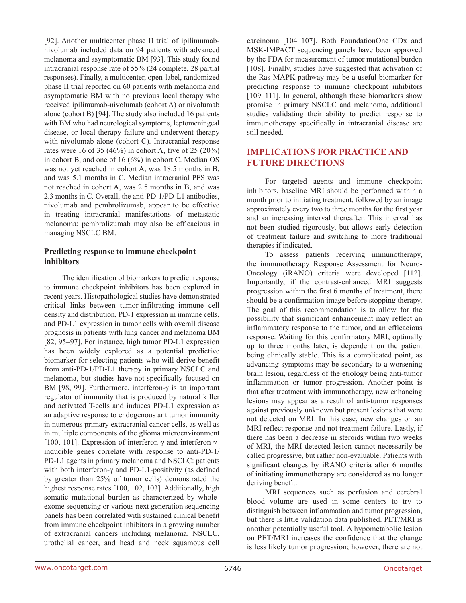[92]. Another multicenter phase II trial of ipilimumabnivolumab included data on 94 patients with advanced melanoma and asymptomatic BM [93]. This study found intracranial response rate of 55% (24 complete, 28 partial responses). Finally, a multicenter, open-label, randomized phase II trial reported on 60 patients with melanoma and asymptomatic BM with no previous local therapy who received ipilimumab-nivolumab (cohort A) or nivolumab alone (cohort B) [94]. The study also included 16 patients with BM who had neurological symptoms, leptomeningeal disease, or local therapy failure and underwent therapy with nivolumab alone (cohort C). Intracranial response rates were 16 of 35 (46%) in cohort A, five of 25 (20%) in cohort B, and one of 16 (6%) in cohort C. Median OS was not yet reached in cohort A, was 18.5 months in B, and was 5.1 months in C. Median intracranial PFS was not reached in cohort A, was 2.5 months in B, and was 2.3 months in C. Overall, the anti-PD-1/PD-L1 antibodies, nivolumab and pembrolizumab, appear to be effective in treating intracranial manifestations of metastatic melanoma; pembrolizumab may also be efficacious in managing NSCLC BM.

#### **Predicting response to immune checkpoint inhibitors**

The identification of biomarkers to predict response to immune checkpoint inhibitors has been explored in recent years. Histopathological studies have demonstrated critical links between tumor-infiltrating immune cell density and distribution, PD-1 expression in immune cells, and PD-L1 expression in tumor cells with overall disease prognosis in patients with lung cancer and melanoma BM [82, 95–97]. For instance, high tumor PD-L1 expression has been widely explored as a potential predictive biomarker for selecting patients who will derive benefit from anti-PD-1/PD-L1 therapy in primary NSCLC and melanoma, but studies have not specifically focused on BM [98, 99]. Furthermore, interferon-γ is an important regulator of immunity that is produced by natural killer and activated T-cells and induces PD-L1 expression as an adaptive response to endogenous antitumor immunity in numerous primary extracranial cancer cells, as well as in multiple components of the glioma microenvironment [100, 101]. Expression of interferon-γ and interferon-γinducible genes correlate with response to anti-PD-1/ PD-L1 agents in primary melanoma and NSCLC: patients with both interferon-γ and PD-L1-positivity (as defined by greater than 25% of tumor cells) demonstrated the highest response rates [100, 102, 103]. Additionally, high somatic mutational burden as characterized by wholeexome sequencing or various next generation sequencing panels has been correlated with sustained clinical benefit from immune checkpoint inhibitors in a growing number of extracranial cancers including melanoma, NSCLC, urothelial cancer, and head and neck squamous cell carcinoma [104–107]. Both FoundationOne CDx and MSK-IMPACT sequencing panels have been approved by the FDA for measurement of tumor mutational burden [108]. Finally, studies have suggested that activation of the Ras-MAPK pathway may be a useful biomarker for predicting response to immune checkpoint inhibitors [109–111]. In general, although these biomarkers show promise in primary NSCLC and melanoma, additional studies validating their ability to predict response to immunotherapy specifically in intracranial disease are still needed.

# **IMPLICATIONS FOR PRACTICE AND FUTURE DIRECTIONS**

For targeted agents and immune checkpoint inhibitors, baseline MRI should be performed within a month prior to initiating treatment, followed by an image approximately every two to three months for the first year and an increasing interval thereafter. This interval has not been studied rigorously, but allows early detection of treatment failure and switching to more traditional therapies if indicated.

To assess patients receiving immunotherapy, the immunotherapy Response Assessment for Neuro-Oncology (iRANO) criteria were developed [112]. Importantly, if the contrast-enhanced MRI suggests progression within the first 6 months of treatment, there should be a confirmation image before stopping therapy. The goal of this recommendation is to allow for the possibility that significant enhancement may reflect an inflammatory response to the tumor, and an efficacious response. Waiting for this confirmatory MRI, optimally up to three months later, is dependent on the patient being clinically stable. This is a complicated point, as advancing symptoms may be secondary to a worsening brain lesion, regardless of the etiology being anti-tumor inflammation or tumor progression. Another point is that after treatment with immunotherapy, new enhancing lesions may appear as a result of anti-tumor responses against previously unknown but present lesions that were not detected on MRI. In this case, new changes on an MRI reflect response and not treatment failure. Lastly, if there has been a decrease in steroids within two weeks of MRI, the MRI-detected lesion cannot necessarily be called progressive, but rather non-evaluable. Patients with significant changes by iRANO criteria after 6 months of initiating immunotherapy are considered as no longer deriving benefit.

MRI sequences such as perfusion and cerebral blood volume are used in some centers to try to distinguish between inflammation and tumor progression, but there is little validation data published. PET/MRI is another potentially useful tool. A hypometabolic lesion on PET/MRI increases the confidence that the change is less likely tumor progression; however, there are not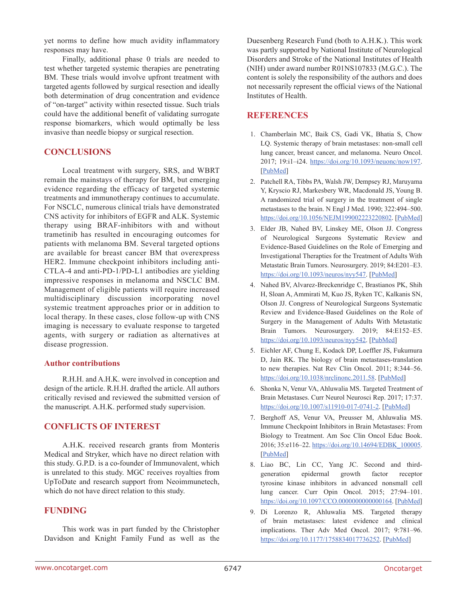yet norms to define how much avidity inflammatory responses may have.

Finally, additional phase 0 trials are needed to test whether targeted systemic therapies are penetrating BM. These trials would involve upfront treatment with targeted agents followed by surgical resection and ideally both determination of drug concentration and evidence of "on-target" activity within resected tissue. Such trials could have the additional benefit of validating surrogate response biomarkers, which would optimally be less invasive than needle biopsy or surgical resection.

# **CONCLUSIONS**

Local treatment with surgery, SRS, and WBRT remain the mainstays of therapy for BM, but emerging evidence regarding the efficacy of targeted systemic treatments and immunotherapy continues to accumulate. For NSCLC, numerous clinical trials have demonstrated CNS activity for inhibitors of EGFR and ALK. Systemic therapy using BRAF-inhibitors with and without trametinib has resulted in encouraging outcomes for patients with melanoma BM. Several targeted options are available for breast cancer BM that overexpress HER2. Immune checkpoint inhibitors including anti-CTLA-4 and anti-PD-1/PD-L1 antibodies are yielding impressive responses in melanoma and NSCLC BM. Management of eligible patients will require increased multidisciplinary discussion incorporating novel systemic treatment approaches prior or in addition to local therapy. In these cases, close follow-up with CNS imaging is necessary to evaluate response to targeted agents, with surgery or radiation as alternatives at disease progression.

#### **Author contributions**

R.H.H. and A.H.K. were involved in conception and design of the article. R.H.H. drafted the article. All authors critically revised and reviewed the submitted version of the manuscript. A.H.K. performed study supervision.

## **CONFLICTS OF INTEREST**

A.H.K. received research grants from Monteris Medical and Stryker, which have no direct relation with this study. G.P.D. is a co-founder of Immunovalent, which is unrelated to this study. MGC receives royalties from UpToDate and research support from Neoimmunetech, which do not have direct relation to this study.

## **FUNDING**

This work was in part funded by the Christopher Davidson and Knight Family Fund as well as the Duesenberg Research Fund (both to A.H.K.). This work was partly supported by National Institute of Neurological Disorders and Stroke of the National Institutes of Health (NIH) under award number R01NS107833 (M.G.C.). The content is solely the responsibility of the authors and does not necessarily represent the official views of the National Institutes of Health.

# **REFERENCES**

- 1. Chamberlain MC, Baik CS, Gadi VK, Bhatia S, Chow LQ. Systemic therapy of brain metastases: non-small cell lung cancer, breast cancer, and melanoma. Neuro Oncol. 2017; 19:i1–i24. https://doi.org/10.1093/neuonc/now197. [\[PubMed\]](https://www.ncbi.nlm.nih.gov/pubmed/28031389)
- 2. Patchell RA, Tibbs PA, Walsh JW, Dempsey RJ, Maruyama Y, Kryscio RJ, Markesbery WR, Macdonald JS, Young B. A randomized trial of surgery in the treatment of single metastases to the brain. N Engl J Med. 1990; 322:494–500. https://doi.org/10.1056/NEJM199002223220802. [\[PubMed\]](https://www.ncbi.nlm.nih.gov/pubmed/2405271)
- 3. Elder JB, Nahed BV, Linskey ME, Olson JJ. Congress of Neurological Surgeons Systematic Review and Evidence-Based Guidelines on the Role of Emerging and Investigational Therapties for the Treatment of Adults With Metastatic Brain Tumors. Neurosurgery. 2019; 84:E201–E3. https://doi.org/10.1093/neuros/nyy547. [\[PubMed\]](https://www.ncbi.nlm.nih.gov/pubmed/30629215)
- 4. Nahed BV, Alvarez-Breckenridge C, Brastianos PK, Shih H, Sloan A, Ammirati M, Kuo JS, Ryken TC, Kalkanis SN, Olson JJ. Congress of Neurological Surgeons Systematic Review and Evidence-Based Guidelines on the Role of Surgery in the Management of Adults With Metastatic Brain Tumors. Neurosurgery. 2019; 84:E152–E5. https://doi.org/10.1093/neuros/nyy542. [\[PubMed\]](https://www.ncbi.nlm.nih.gov/pubmed/30629227)
- 5. Eichler AF, Chung E, Kodack DP, Loeffler JS, Fukumura D, Jain RK. The biology of brain metastases-translation to new therapies. Nat Rev Clin Oncol. 2011; 8:344–56. https://doi.org/10.1038/nrclinonc.2011.58. [\[PubMed\]](https://www.ncbi.nlm.nih.gov/pubmed/21487419)
- 6. Shonka N, Venur VA, Ahluwalia MS. Targeted Treatment of Brain Metastases. Curr Neurol Neurosci Rep. 2017; 17:37. https://doi.org/10.1007/s11910-017-0741-2. [\[PubMed\]](https://www.ncbi.nlm.nih.gov/pubmed/28326470)
- 7. Berghoff AS, Venur VA, Preusser M, Ahluwalia MS. Immune Checkpoint Inhibitors in Brain Metastases: From Biology to Treatment. Am Soc Clin Oncol Educ Book. 2016; 35:e116–22. https://doi.org/10.14694/EDBK\_100005. [\[PubMed\]](https://www.ncbi.nlm.nih.gov/pubmed/27249713)
- 8. Liao BC, Lin CC, Yang JC. Second and thirdgeneration epidermal growth factor receptor tyrosine kinase inhibitors in advanced nonsmall cell lung cancer. Curr Opin Oncol. 2015; 27:94–101. https://doi.org/10.1097/CCO.0000000000000164. [\[PubMed\]](https://www.ncbi.nlm.nih.gov/pubmed/25611025)
- 9. Di Lorenzo R, Ahluwalia MS. Targeted therapy of brain metastases: latest evidence and clinical implications. Ther Adv Med Oncol. 2017; 9:781–96. https://doi.org/10.1177/1758834017736252. [\[PubMed\]](https://www.ncbi.nlm.nih.gov/pubmed/29449898)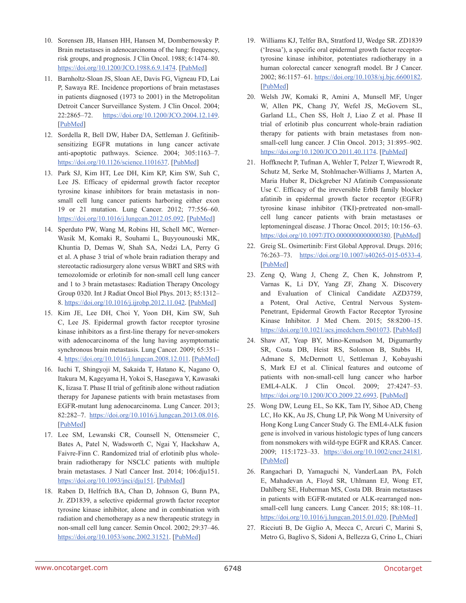- 10. Sorensen JB, Hansen HH, Hansen M, Dombernowsky P. Brain metastases in adenocarcinoma of the lung: frequency, risk groups, and prognosis. J Clin Oncol. 1988; 6:1474–80. https://doi.org/10.1200/JCO.1988.6.9.1474. [\[PubMed\]](https://www.ncbi.nlm.nih.gov/pubmed/3047337)
- 11. Barnholtz-Sloan JS, Sloan AE, Davis FG, Vigneau FD, Lai P, Sawaya RE. Incidence proportions of brain metastases in patients diagnosed (1973 to 2001) in the Metropolitan Detroit Cancer Surveillance System. J Clin Oncol. 2004; 22:2865–72. https://doi.org/10.1200/JCO.2004.12.149. [\[PubMed\]](https://www.ncbi.nlm.nih.gov/pubmed/15254054)
- 12. Sordella R, Bell DW, Haber DA, Settleman J. Gefitinibsensitizing EGFR mutations in lung cancer activate anti-apoptotic pathways. Science. 2004; 305:1163–7. https://doi.org/10.1126/science.1101637. [\[PubMed\]](https://www.ncbi.nlm.nih.gov/pubmed/15284455)
- 13. Park SJ, Kim HT, Lee DH, Kim KP, Kim SW, Suh C, Lee JS. Efficacy of epidermal growth factor receptor tyrosine kinase inhibitors for brain metastasis in nonsmall cell lung cancer patients harboring either exon 19 or 21 mutation. Lung Cancer. 2012; 77:556–60. https://doi.org/10.1016/j.lungcan.2012.05.092. [\[PubMed\]](https://www.ncbi.nlm.nih.gov/pubmed/22677429)
- 14. Sperduto PW, Wang M, Robins HI, Schell MC, Werner-Wasik M, Komaki R, Souhami L, Buyyounouski MK, Khuntia D, Demas W, Shah SA, Nedzi LA, Perry G et al. A phase 3 trial of whole brain radiation therapy and stereotactic radiosurgery alone versus WBRT and SRS with temozolomide or erlotinib for non-small cell lung cancer and 1 to 3 brain metastases: Radiation Therapy Oncology Group 0320. Int J Radiat Oncol Biol Phys. 2013; 85:1312– 8. https://doi.org/10.1016/j.ijrobp.2012.11.042. [\[PubMed\]](https://www.ncbi.nlm.nih.gov/pubmed/23391814)
- 15. Kim JE, Lee DH, Choi Y, Yoon DH, Kim SW, Suh C, Lee JS. Epidermal growth factor receptor tyrosine kinase inhibitors as a first-line therapy for never-smokers with adenocarcinoma of the lung having asymptomatic synchronous brain metastasis. Lung Cancer. 2009; 65:351– 4. https://doi.org/10.1016/j.lungcan.2008.12.011. [\[PubMed\]](https://www.ncbi.nlm.nih.gov/pubmed/19157632)
- 16. Iuchi T, Shingyoji M, Sakaida T, Hatano K, Nagano O, Itakura M, Kageyama H, Yokoi S, Hasegawa Y, Kawasaki K, Iizasa T. Phase II trial of gefitinib alone without radiation therapy for Japanese patients with brain metastases from EGFR-mutant lung adenocarcinoma. Lung Cancer. 2013; 82:282–7. https://doi.org/10.1016/j.lungcan.2013.08.016. [\[PubMed\]](https://www.ncbi.nlm.nih.gov/pubmed/24021541)
- 17. Lee SM, Lewanski CR, Counsell N, Ottensmeier C, Bates A, Patel N, Wadsworth C, Ngai Y, Hackshaw A, Faivre-Finn C. Randomized trial of erlotinib plus wholebrain radiotherapy for NSCLC patients with multiple brain metastases. J Natl Cancer Inst. 2014; 106:dju151. https://doi.org/10.1093/jnci/dju151. [\[PubMed\]](https://www.ncbi.nlm.nih.gov/pubmed/25031274)
- 18. Raben D, Helfrich BA, Chan D, Johnson G, Bunn PA, Jr. ZD1839, a selective epidermal growth factor receptor tyrosine kinase inhibitor, alone and in combination with radiation and chemotherapy as a new therapeutic strategy in non-small cell lung cancer. Semin Oncol. 2002; 29:37–46. <https://doi.org/10.1053/sonc.2002.31521>. [\[PubMed\]](https://www.ncbi.nlm.nih.gov/pubmed/11894012)
- 19. Williams KJ, Telfer BA, Stratford IJ, Wedge SR. ZD1839 ('Iressa'), a specific oral epidermal growth factor receptortyrosine kinase inhibitor, potentiates radiotherapy in a human colorectal cancer xenograft model. Br J Cancer. 2002; 86:1157–61. https://doi.org/10.1038/sj.bjc.6600182. [\[PubMed\]](https://www.ncbi.nlm.nih.gov/pubmed/11953865)
- 20. Welsh JW, Komaki R, Amini A, Munsell MF, Unger W, Allen PK, Chang JY, Wefel JS, McGovern SL, Garland LL, Chen SS, Holt J, Liao Z et al. Phase II trial of erlotinib plus concurrent whole-brain radiation therapy for patients with brain metastases from nonsmall-cell lung cancer. J Clin Oncol. 2013; 31:895–902. https://doi.org/10.1200/JCO.2011.40.1174. [\[PubMed\]](https://www.ncbi.nlm.nih.gov/pubmed/23341526)
- 21. Hoffknecht P, Tufman A, Wehler T, Pelzer T, Wiewrodt R, Schutz M, Serke M, Stohlmacher-Williams J, Marten A, Maria Huber R, Dickgreber NJ Afatinib Compassionate Use C. Efficacy of the irreversible ErbB family blocker afatinib in epidermal growth factor receptor (EGFR) tyrosine kinase inhibitor (TKI)-pretreated non-smallcell lung cancer patients with brain metastases or leptomeningeal disease. J Thorac Oncol. 2015; 10:156–63. https://doi.org/10.1097/JTO.0000000000000380. [\[PubMed\]](https://www.ncbi.nlm.nih.gov/pubmed/25247337)
- 22. Greig SL. Osimertinib: First Global Approval. Drugs. 2016; 76:263–73. https://doi.org/10.1007/s40265-015-0533-4. [\[PubMed\]](https://www.ncbi.nlm.nih.gov/pubmed/26729184)
- 23. Zeng Q, Wang J, Cheng Z, Chen K, Johnstrom P, Varnas K, Li DY, Yang ZF, Zhang X. Discovery and Evaluation of Clinical Candidate AZD3759, a Potent, Oral Active, Central Nervous System-Penetrant, Epidermal Growth Factor Receptor Tyrosine Kinase Inhibitor. J Med Chem. 2015; 58:8200–15. https://doi.org/10.1021/acs.jmedchem.5b01073. [\[PubMed\]](https://www.ncbi.nlm.nih.gov/pubmed/26313252)
- 24. Shaw AT, Yeap BY, Mino-Kenudson M, Digumarthy SR, Costa DB, Heist RS, Solomon B, Stubbs H, Admane S, McDermott U, Settleman J, Kobayashi S, Mark EJ et al. Clinical features and outcome of patients with non-small-cell lung cancer who harbor EML4-ALK. J Clin Oncol. 2009; 27:4247–53. https://doi.org/10.1200/JCO.2009.22.6993. [\[PubMed\]](https://www.ncbi.nlm.nih.gov/pubmed/19667264)
- 25. Wong DW, Leung EL, So KK, Tam IY, Sihoe AD, Cheng LC, Ho KK, Au JS, Chung LP, Pik Wong M University of Hong Kong Lung Cancer Study G. The EML4-ALK fusion gene is involved in various histologic types of lung cancers from nonsmokers with wild-type EGFR and KRAS. Cancer. 2009; 115:1723–33. https://doi.org/10.1002/cncr.24181. [\[PubMed\]](https://www.ncbi.nlm.nih.gov/pubmed/19170230)
- 26. Rangachari D, Yamaguchi N, VanderLaan PA, Folch E, Mahadevan A, Floyd SR, Uhlmann EJ, Wong ET, Dahlberg SE, Huberman MS, Costa DB. Brain metastases in patients with EGFR-mutated or ALK-rearranged nonsmall-cell lung cancers. Lung Cancer. 2015; 88:108–11. https://doi.org/10.1016/j.lungcan.2015.01.020. [\[PubMed\]](https://www.ncbi.nlm.nih.gov/pubmed/25682925)
- 27. Ricciuti B, De Giglio A, Mecca C, Arcuri C, Marini S, Metro G, Baglivo S, Sidoni A, Bellezza G, Crino L, Chiari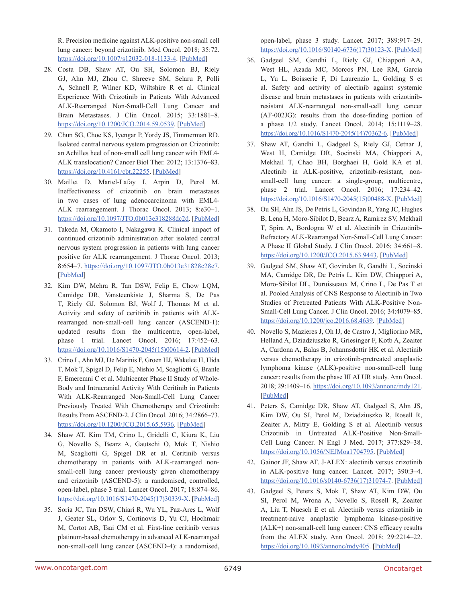R. Precision medicine against ALK-positive non-small cell lung cancer: beyond crizotinib. Med Oncol. 2018; 35:72. https://doi.org/10.1007/s12032-018-1133-4. [\[PubMed\]](https://www.ncbi.nlm.nih.gov/pubmed/29666949)

- 28. Costa DB, Shaw AT, Ou SH, Solomon BJ, Riely GJ, Ahn MJ, Zhou C, Shreeve SM, Selaru P, Polli A, Schnell P, Wilner KD, Wiltshire R et al. Clinical Experience With Crizotinib in Patients With Advanced ALK-Rearranged Non-Small-Cell Lung Cancer and Brain Metastases. J Clin Oncol. 2015; 33:1881–8. https://doi.org/10.1200/JCO.2014.59.0539. [\[PubMed\]](https://www.ncbi.nlm.nih.gov/pubmed/25624436)
- 29. Chun SG, Choe KS, Iyengar P, Yordy JS, Timmerman RD. Isolated central nervous system progression on Crizotinib: an Achilles heel of non-small cell lung cancer with EML4- ALK translocation? Cancer Biol Ther. 2012; 13:1376–83. https://doi.org/10.4161/cbt.22255. [\[PubMed\]](https://www.ncbi.nlm.nih.gov/pubmed/22986231)
- 30. Maillet D, Martel-Lafay I, Arpin D, Perol M. Ineffectiveness of crizotinib on brain metastases in two cases of lung adenocarcinoma with EML4- ALK rearrangement. J Thorac Oncol. 2013; 8:e30–1. https://doi.org/10.1097/JTO.0b013e318288dc2d. [\[PubMed\]](https://www.ncbi.nlm.nih.gov/pubmed/23486270)
- 31. Takeda M, Okamoto I, Nakagawa K. Clinical impact of continued crizotinib administration after isolated central nervous system progression in patients with lung cancer positive for ALK rearrangement. J Thorac Oncol. 2013; 8:654–7. https://doi.org/10.1097/JTO.0b013e31828c28e7. [\[PubMed\]](https://www.ncbi.nlm.nih.gov/pubmed/23584297)
- 32. Kim DW, Mehra R, Tan DSW, Felip E, Chow LQM, Camidge DR, Vansteenkiste J, Sharma S, De Pas T, Riely GJ, Solomon BJ, Wolf J, Thomas M et al. Activity and safety of ceritinib in patients with ALKrearranged non-small-cell lung cancer (ASCEND-1): updated results from the multicentre, open-label, phase 1 trial. Lancet Oncol. 2016; 17:452–63. [https://doi.org/10.1016/S1470-2045\(15\)00614-2](https://doi.org/10.1016/S1470-2045(15)00614-2). [\[PubMed\]](https://www.ncbi.nlm.nih.gov/pubmed/26973324)
- 33. Crino L, Ahn MJ, De Marinis F, Groen HJ, Wakelee H, Hida T, Mok T, Spigel D, Felip E, Nishio M, Scagliotti G, Branle F, Emeremni C et al. Multicenter Phase II Study of Whole-Body and Intracranial Activity With Ceritinib in Patients With ALK-Rearranged Non-Small-Cell Lung Cancer Previously Treated With Chemotherapy and Crizotinib: Results From ASCEND-2. J Clin Oncol. 2016; 34:2866–73. https://doi.org/10.1200/JCO.2015.65.5936. [\[PubMed\]](https://www.ncbi.nlm.nih.gov/pubmed/27432917)
- 34. Shaw AT, Kim TM, Crino L, Gridelli C, Kiura K, Liu G, Novello S, Bearz A, Gautschi O, Mok T, Nishio M, Scagliotti G, Spigel DR et al. Ceritinib versus chemotherapy in patients with ALK-rearranged nonsmall-cell lung cancer previously given chemotherapy and crizotinib (ASCEND-5): a randomised, controlled, open-label, phase 3 trial. Lancet Oncol. 2017; 18:874–86. https://doi.org/10.1016/S1470-2045(17)30339-X. [\[PubMed\]](https://www.ncbi.nlm.nih.gov/pubmed/28602779)
- 35. Soria JC, Tan DSW, Chiari R, Wu YL, Paz-Ares L, Wolf J, Geater SL, Orlov S, Cortinovis D, Yu CJ, Hochmair M, Cortot AB, Tsai CM et al. First-line ceritinib versus platinum-based chemotherapy in advanced ALK-rearranged non-small-cell lung cancer (ASCEND-4): a randomised,

open-label, phase 3 study. Lancet. 2017; 389:917–29. [https://doi.org/10.1016/S0140-6736\(17\)30123-X](https://doi.org/10.1016/S0140-6736(17)30123-X). [\[PubMed\]](https://www.ncbi.nlm.nih.gov/pubmed/28126333)

- 36. Gadgeel SM, Gandhi L, Riely GJ, Chiappori AA, West HL, Azada MC, Morcos PN, Lee RM, Garcia L, Yu L, Boisserie F, Di Laurenzio L, Golding S et al. Safety and activity of alectinib against systemic disease and brain metastases in patients with crizotinibresistant ALK-rearranged non-small-cell lung cancer (AF-002JG): results from the dose-finding portion of a phase 1/2 study. Lancet Oncol. 2014; 15:1119–28. [https://doi.org/10.1016/S1470-2045\(14\)70362-6](https://doi.org/10.1016/S1470-2045(14)70362-6). [\[PubMed\]](https://www.ncbi.nlm.nih.gov/pubmed/25153538)
- 37. Shaw AT, Gandhi L, Gadgeel S, Riely GJ, Cetnar J, West H, Camidge DR, Socinski MA, Chiappori A, Mekhail T, Chao BH, Borghaei H, Gold KA et al. Alectinib in ALK-positive, crizotinib-resistant, nonsmall-cell lung cancer: a single-group, multicentre, phase 2 trial. Lancet Oncol. 2016; 17:234–42. [https://doi.org/10.1016/S1470-2045\(15\)00488-X](https://doi.org/10.1016/S1470-2045(15)00488-X). [\[PubMed\]](https://www.ncbi.nlm.nih.gov/pubmed/26708155)
- 38. Ou SH, Ahn JS, De Petris L, Govindan R, Yang JC, Hughes B, Lena H, Moro-Sibilot D, Bearz A, Ramirez SV, Mekhail T, Spira A, Bordogna W et al. Alectinib in Crizotinib-Refractory ALK-Rearranged Non-Small-Cell Lung Cancer: A Phase II Global Study. J Clin Oncol. 2016; 34:661–8. https://doi.org/10.1200/JCO.2015.63.9443. [\[PubMed\]](https://www.ncbi.nlm.nih.gov/pubmed/26598747)
- 39. Gadgeel SM, Shaw AT, Govindan R, Gandhi L, Socinski MA, Camidge DR, De Petris L, Kim DW, Chiappori A, Moro-Sibilot DL, Duruisseaux M, Crino L, De Pas T et al. Pooled Analysis of CNS Response to Alectinib in Two Studies of Pretreated Patients With ALK-Positive Non-Small-Cell Lung Cancer. J Clin Oncol. 2016; 34:4079–85. https://doi.org/10.1200/jco.2016.68.4639. [\[PubMed\]](https://www.ncbi.nlm.nih.gov/pubmed/27863201)
- 40. Novello S, Mazieres J, Oh IJ, de Castro J, Migliorino MR, Helland A, Dziadziuszko R, Griesinger F, Kotb A, Zeaiter A, Cardona A, Balas B, Johannsdottir HK et al. Alectinib versus chemotherapy in crizotinib-pretreated anaplastic lymphoma kinase (ALK)-positive non-small-cell lung cancer: results from the phase III ALUR study. Ann Oncol. 2018; 29:1409–16. https://doi.org/10.1093/annonc/mdy121. [\[PubMed\]](https://www.ncbi.nlm.nih.gov/pubmed/29668860)
- 41. Peters S, Camidge DR, Shaw AT, Gadgeel S, Ahn JS, Kim DW, Ou SI, Perol M, Dziadziuszko R, Rosell R, Zeaiter A, Mitry E, Golding S et al. Alectinib versus Crizotinib in Untreated ALK-Positive Non-Small-Cell Lung Cancer. N Engl J Med. 2017; 377:829–38. https://doi.org/10.1056/NEJMoa1704795. [\[PubMed\]](https://www.ncbi.nlm.nih.gov/pubmed/28586279)
- 42. Gainor JF, Shaw AT. J-ALEX: alectinib versus crizotinib in ALK-positive lung cancer. Lancet. 2017; 390:3–4. [https://doi.org/10.1016/s0140-6736\(17\)31074-7](https://doi.org/10.1016/s0140-6736(17)31074-7). [[PubMed](https://www.ncbi.nlm.nih.gov/pubmed/28501139)]
- 43. Gadgeel S, Peters S, Mok T, Shaw AT, Kim DW, Ou SI, Perol M, Wrona A, Novello S, Rosell R, Zeaiter A, Liu T, Nuesch E et al. Alectinib versus crizotinib in treatment-naive anaplastic lymphoma kinase-positive (ALK+) non-small-cell lung cancer: CNS efficacy results from the ALEX study. Ann Oncol. 2018; 29:2214–22. https://doi.org/10.1093/annonc/mdy405. [\[PubMed\]](https://www.ncbi.nlm.nih.gov/pubmed/30215676)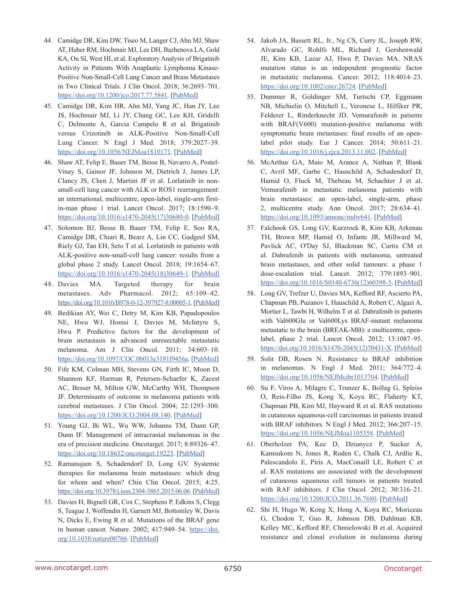- 44. Camidge DR, Kim DW, Tiseo M, Langer CJ, Ahn MJ, Shaw AT, Huber RM, Hochmair MJ, Lee DH, Bazhenova LA, Gold KA, Ou SI, West HL et al. Exploratory Analysis of Brigatinib Activity in Patients With Anaplastic Lymphoma Kinase-Positive Non-Small-Cell Lung Cancer and Brain Metastases in Two Clinical Trials. J Clin Oncol. 2018; 36:2693–701. https://doi.org/10.1200/jco.2017.77.5841. [\[PubMed\]](https://www.ncbi.nlm.nih.gov/pubmed/29768119)
- 45. Camidge DR, Kim HR, Ahn MJ, Yang JC, Han JY, Lee JS, Hochmair MJ, Li JY, Chang GC, Lee KH, Gridelli C, Delmonte A, Garcia Campelo R et al. Brigatinib versus Crizotinib in ALK-Positive Non-Small-Cell Lung Cancer. N Engl J Med. 2018; 379:2027–39. https://doi.org/10.1056/NEJMoa1810171. [\[PubMed\]](https://www.ncbi.nlm.nih.gov/pubmed/30280657)
- 46. Shaw AT, Felip E, Bauer TM, Besse B, Navarro A, Postel-Vinay S, Gainor JF, Johnson M, Dietrich J, James LP, Clancy JS, Chen J, Martini JF et al. Lorlatinib in nonsmall-cell lung cancer with ALK or ROS1 rearrangement: an international, multicentre, open-label, single-arm firstin-man phase 1 trial. Lancet Oncol. 2017; 18:1590–9. [https://doi.org/10.1016/s1470-2045\(17\)30680-0.](https://doi.org/10.1016/s1470-2045(17)30680-0) [\[PubMed\]](https://www.ncbi.nlm.nih.gov/pubmed/29074098)
- 47. Solomon BJ, Besse B, Bauer TM, Felip E, Soo RA, Camidge DR, Chiari R, Bearz A, Lin CC, Gadgeel SM, Riely GJ, Tan EH, Seto T et al. Lorlatinib in patients with ALK-positive non-small-cell lung cancer: results from a global phase 2 study. Lancet Oncol. 2018; 19:1654–67. [https://doi.org/10.1016/s1470-2045\(18\)30649-1.](https://doi.org/10.1016/s1470-2045(18)30649-1) [\[PubMed\]](https://www.ncbi.nlm.nih.gov/pubmed/30413378)
- 48. Davies MA. Targeted therapy for brain metastases. Adv Pharmacol. 2012; 65:109–42. https://doi.org/10.1016/B978-0-12-397927-8.00005-1. [\[PubMed\]](https://www.ncbi.nlm.nih.gov/pubmed/22959025)
- 49. Bedikian AY, Wei C, Detry M, Kim KB, Papadopoulos NE, Hwu WJ, Homsi J, Davies M, McIntyre S, Hwu P. Predictive factors for the development of brain metastasis in advanced unresectable metastatic melanoma. Am J Clin Oncol. 2011; 34:603–10. https://doi.org/10.1097/COC.0b013e3181f9456a. [\[PubMed\]](https://www.ncbi.nlm.nih.gov/pubmed/21150567)
- 50. Fife KM, Colman MH, Stevens GN, Firth IC, Moon D, Shannon KF, Harman R, Petersen-Schaefer K, Zacest AC, Besser M, Milton GW, McCarthy WH, Thompson JF. Determinants of outcome in melanoma patients with cerebral metastases. J Clin Oncol. 2004; 22:1293–300. https://doi.org/10.1200/JCO.2004.08.140. [\[PubMed\]](https://www.ncbi.nlm.nih.gov/pubmed/15051777)
- 51. Young GJ, Bi WL, Wu WW, Johanns TM, Dunn GP, Dunn IF. Management of intracranial melanomas in the era of precision medicine. Oncotarget. 2017; 8:89326–47. https://doi.org/10.18632/oncotarget.19223. [\[PubMed\]](https://www.ncbi.nlm.nih.gov/pubmed/29179523)
- 52. Ramanujam S, Schadendorf D, Long GV. Systemic therapies for melanoma brain metastases: which drug for whom and when? Chin Clin Oncol. 2015; 4:25. https://doi.org/10.3978/j.issn.2304-3865.2015.06.06. [\[PubMed\]](https://www.ncbi.nlm.nih.gov/pubmed/26112811)
- 53. Davies H, Bignell GR, Cox C, Stephens P, Edkins S, Clegg S, Teague J, Woffendin H, Garnett MJ, Bottomley W, Davis N, Dicks E, Ewing R et al. Mutations of the BRAF gene in human cancer. Nature. 2002; 417:949–54. https://doi. org/10.1038/nature00766. [\[PubMed\]](https://www.ncbi.nlm.nih.gov/pubmed/12068308)
- 54. Jakob JA, Bassett RL, Jr., Ng CS, Curry JL, Joseph RW, Alvarado GC, Rohlfs ML, Richard J, Gershenwald JE, Kim KB, Lazar AJ, Hwu P, Davies MA. NRAS mutation status is an independent prognostic factor in metastatic melanoma. Cancer. 2012; 118:4014–23. https://doi.org/10.1002/cncr.26724. [\[PubMed\]](https://www.ncbi.nlm.nih.gov/pubmed/22180178)
- 55. Dummer R, Goldinger SM, Turtschi CP, Eggmann NB, Michielin O, Mitchell L, Veronese L, Hilfiker PR, Felderer L, Rinderknecht JD. Vemurafenib in patients with BRAF(V600) mutation-positive melanoma with symptomatic brain metastases: final results of an openlabel pilot study. Eur J Cancer. 2014; 50:611–21. https://doi.org/10.1016/j.ejca.2013.11.002. [\[PubMed\]](https://www.ncbi.nlm.nih.gov/pubmed/24295639)
- 56. McArthur GA, Maio M, Arance A, Nathan P, Blank C, Avril MF, Garbe C, Hauschild A, Schadendorf D, Hamid O, Fluck M, Thebeau M, Schachter J et al. Vemurafenib in metastatic melanoma patients with brain metastases: an open-label, single-arm, phase 2, multicentre study. Ann Oncol. 2017; 28:634–41. https://doi.org/10.1093/annonc/mdw641. [\[PubMed\]](https://www.ncbi.nlm.nih.gov/pubmed/27993793)
- 57. Falchook GS, Long GV, Kurzrock R, Kim KB, Arkenau TH, Brown MP, Hamid O, Infante JR, Millward M, Pavlick AC, O'Day SJ, Blackman SC, Curtis CM et al. Dabrafenib in patients with melanoma, untreated brain metastases, and other solid tumours: a phase 1 dose-escalation trial. Lancet. 2012; 379:1893–901. [https://doi.org/10.1016/S0140-6736\(12\)60398-5.](https://doi.org/10.1016/S0140-6736(12)60398-5) [\[PubMed\]](https://www.ncbi.nlm.nih.gov/pubmed/22608338)
- 58. Long GV, Trefzer U, Davies MA, Kefford RF, Ascierto PA, Chapman PB, Puzanov I, Hauschild A, Robert C, Algazi A, Mortier L, Tawbi H, Wilhelm T et al. Dabrafenib in patients with Val600Glu or Val600Lys BRAF-mutant melanoma metastatic to the brain (BREAK-MB): a multicentre, openlabel, phase 2 trial. Lancet Oncol. 2012; 13:1087–95. [https://doi.org/10.1016/S1470-2045\(12\)70431-X](https://doi.org/10.1016/S1470-2045(12)70431-X). [\[PubMed\]](https://www.ncbi.nlm.nih.gov/pubmed/23051966)
- 59. Solit DB, Rosen N. Resistance to BRAF inhibition in melanomas. N Engl J Med. 2011; 364:772–4. https://doi.org/10.1056/NEJMcibr1013704. [\[PubMed\]](https://www.ncbi.nlm.nih.gov/pubmed/21345109)
- 60. Su F, Viros A, Milagre C, Trunzer K, Bollag G, Spleiss O, Reis-Filho JS, Kong X, Koya RC, Flaherty KT, Chapman PB, Kim MJ, Hayward R et al. RAS mutations in cutaneous squamous-cell carcinomas in patients treated with BRAF inhibitors. N Engl J Med. 2012; 366:207–15. https://doi.org/10.1056/NEJMoa1105358. [\[PubMed\]](https://www.ncbi.nlm.nih.gov/pubmed/22256804)
- 61. Oberholzer PA, Kee D, Dziunycz P, Sucker A, Kamsukom N, Jones R, Roden C, Chalk CJ, Ardlie K, Palescandolo E, Piris A, MacConaill LE, Robert C et al. RAS mutations are associated with the development of cutaneous squamous cell tumors in patients treated with RAF inhibitors. J Clin Oncol. 2012; 30:316–21. https://doi.org/10.1200/JCO.2011.36.7680. [\[PubMed\]](https://www.ncbi.nlm.nih.gov/pubmed/22067401)
- 62. Shi H, Hugo W, Kong X, Hong A, Koya RC, Moriceau G, Chodon T, Guo R, Johnson DB, Dahlman KB, Kelley MC, Kefford RF, Chmielowski B et al. Acquired resistance and clonal evolution in melanoma during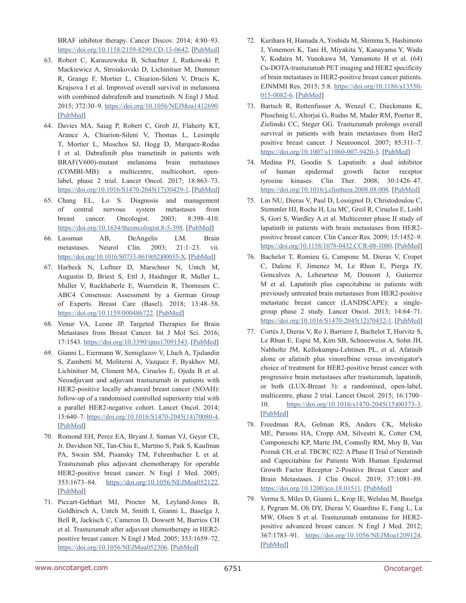BRAF inhibitor therapy. Cancer Discov. 2014; 4:80–93. https://doi.org/10.1158/2159-8290.CD-13-0642. [\[PubMed\]](https://www.ncbi.nlm.nih.gov/pubmed/24265155)

- 63. Robert C, Karaszewska B, Schachter J, Rutkowski P, Mackiewicz A, Stroiakovski D, Lichinitser M, Dummer R, Grange F, Mortier L, Chiarion-Sileni V, Drucis K, Krajsova I et al. Improved overall survival in melanoma with combined dabrafenib and trametinib. N Engl J Med. 2015; 372:30–9. https://doi.org/10.1056/NEJMoa1412690. [\[PubMed\]](https://www.ncbi.nlm.nih.gov/pubmed/25399551)
- 64. Davies MA, Saiag P, Robert C, Grob JJ, Flaherty KT, Arance A, Chiarion-Sileni V, Thomas L, Lesimple T, Mortier L, Moschos SJ, Hogg D, Marquez-Rodas I et al. Dabrafenib plus trametinib in patients with BRAF(V600)-mutant melanoma brain metastases (COMBI-MB): a multicentre, multicohort, openlabel, phase 2 trial. Lancet Oncol. 2017; 18:863–73. [https://doi.org/10.1016/S1470-2045\(17\)30429-1](https://doi.org/10.1016/S1470-2045(17)30429-1). [\[PubMed\]](https://www.ncbi.nlm.nih.gov/pubmed/28592387)
- 65. Chang EL, Lo S. Diagnosis and management of central nervous system metastases from breast cancer. Oncologist. 2003; 8:398–410. https://doi.org/10.1634/theoncologist.8-5-398. [\[PubMed\]](https://www.ncbi.nlm.nih.gov/pubmed/14530493)
- 66. Lassman AB, DeAngelis LM. Brain metastases. Neurol Clin. 2003; 21:1–23. vii. [https://doi.org/10.1016/S0733-8619\(02\)00035-X.](https://doi.org/10.1016/S0733-8619(02)00035-X) [[PubMed](https://www.ncbi.nlm.nih.gov/pubmed/12690643)]
- 67. Harbeck N, Luftner D, Marschner N, Untch M, Augustin D, Briest S, Ettl J, Haidinger R, Muller L, Muller V, Ruckhaberle E, Wuerstlein R, Thomssen C. ABC4 Consensus: Assessment by a German Group of Experts. Breast Care (Basel). 2018; 13:48–58. https://doi.org/10.1159/000486722. [\[PubMed\]](https://www.ncbi.nlm.nih.gov/pubmed/29950968)
- 68. Venur VA, Leone JP. Targeted Therapies for Brain Metastases from Breast Cancer. Int J Mol Sci. 2016; 17:1543. https://doi.org/10.3390/ijms17091543. [\[PubMed\]](https://www.ncbi.nlm.nih.gov/pubmed/27649142)
- 69. Gianni L, Eiermann W, Semiglazov V, Lluch A, Tjulandin S, Zambetti M, Moliterni A, Vazquez F, Byakhov MJ, Lichinitser M, Climent MA, Ciruelos E, Ojeda B et al. Neoadjuvant and adjuvant trastuzumab in patients with HER2-positive locally advanced breast cancer (NOAH): follow-up of a randomised controlled superiority trial with a parallel HER2-negative cohort. Lancet Oncol. 2014; 15:640–7. [https://doi.org/10.1016/S1470-2045\(14\)70080-4](https://doi.org/10.1016/S1470-2045(14)70080-4). [\[PubMed\]](https://www.ncbi.nlm.nih.gov/pubmed/24657003)
- 70. Romond EH, Perez EA, Bryant J, Suman VJ, Geyer CE, Jr. Davidson NE, Tan-Chiu E, Martino S, Paik S, Kaufman PA, Swain SM, Pisansky TM, Fehrenbacher L et al. Trastuzumab plus adjuvant chemotherapy for operable HER2-positive breast cancer. N Engl J Med. 2005; 353:1673–84. https://doi.org/10.1056/NEJMoa052122. [\[PubMed\]](https://www.ncbi.nlm.nih.gov/pubmed/16236738)
- 71. Piccart-Gebhart MJ, Procter M, Leyland-Jones B, Goldhirsch A, Untch M, Smith I, Gianni L, Baselga J, Bell R, Jackisch C, Cameron D, Dowsett M, Barrios CH et al. Trastuzumab after adjuvant chemotherapy in HER2 positive breast cancer. N Engl J Med. 2005; 353:1659–72. https://doi.org/10.1056/NEJMoa052306. [\[PubMed\]](https://www.ncbi.nlm.nih.gov/pubmed/16236737)
- 72. Kurihara H, Hamada A, Yoshida M, Shimma S, Hashimoto J, Yonemori K, Tani H, Miyakita Y, Kanayama Y, Wada Y, Kodaira M, Yunokawa M, Yamamoto H et al. (64) Cu-DOTA-trastuzumab PET imaging and HER2 specificity of brain metastases in HER2-positive breast cancer patients. EJNMMI Res. 2015; 5:8. https://doi.org/10.1186/s13550- 015-0082-6. [\[PubMed\]](https://www.ncbi.nlm.nih.gov/pubmed/25853014)
- 73. Bartsch R, Rottenfusser A, Wenzel C, Dieckmann K, Pluschnig U, Altorjai G, Rudas M, Mader RM, Poetter R, Zielinski CC, Steger GG. Trastuzumab prolongs overall survival in patients with brain metastases from Her2 positive breast cancer. J Neurooncol. 2007; 85:311–7. https://doi.org/10.1007/s11060-007-9420-5. [\[PubMed\]](https://www.ncbi.nlm.nih.gov/pubmed/17557136)
- 74. Medina PJ, Goodin S. Lapatinib: a dual inhibitor of human epidermal growth factor receptor tyrosine kinases. Clin Ther. 2008; 30:1426–47. https://doi.org/10.1016/j.clinthera.2008.08.008. [\[PubMed\]](https://www.ncbi.nlm.nih.gov/pubmed/18803986)
- 75. Lin NU, Dieras V, Paul D, Lossignol D, Christodoulou C, Stemmler HJ, Roche H, Liu MC, Greil R, Ciruelos E, Loibl S, Gori S, Wardley A et al. Multicenter phase II study of lapatinib in patients with brain metastases from HER2 positive breast cancer. Clin Cancer Res. 2009; 15:1452–9. https://doi.org/10.1158/1078-0432.CCR-08-1080. [\[PubMed\]](https://www.ncbi.nlm.nih.gov/pubmed/19228746)
- 76. Bachelot T, Romieu G, Campone M, Dieras V, Cropet C, Dalenc F, Jimenez M, Le Rhun E, Pierga JY, Goncalves A, Leheurteur M, Domont J, Gutierrez M et al. Lapatinib plus capecitabine in patients with previously untreated brain metastases from HER2-positive metastatic breast cancer (LANDSCAPE): a singlegroup phase 2 study. Lancet Oncol. 2013; 14:64–71. [https://doi.org/10.1016/S1470-2045\(12\)70432-1.](https://doi.org/10.1016/S1470-2045(12)70432-1) [\[PubMed\]](https://www.ncbi.nlm.nih.gov/pubmed/23122784)
- 77. Cortés J, Dieras V, Ro J, Barriere J, Bachelot T, Hurvitz S, Le Rhun E, Espié M, Kim SB, Schneeweiss A, Sohn JH, Nabholtz JM, Kellokumpu-Lehtinen PL, et al. Afatinib alone or afatinib plus vinorelbine versus investigator's choice of treatment for HER2-positive breast cancer with progressive brain metastases after trastuzumab, lapatinib, or both (LUX-Breast 3): a randomised, open-label, multicentre, phase 2 trial. Lancet Oncol. 2015; 16:1700– 10. [https://doi.org/10.1016/s1470-2045\(15\)00373-3.](https://doi.org/10.1016/s1470-2045(15)00373-3) [\[PubMed\]](https://www.ncbi.nlm.nih.gov/pubmed/26596672)
- 78. Freedman RA, Gelman RS, Anders CK, Melisko ME, Parsons HA, Cropp AM, Silvestri K, Cotter CM, Componeschi KP, Marte JM, Connolly RM, Moy B, Van Poznak CH, et al. TBCRC 022: A Phase II Trial of Neratinib and Capecitabine for Patients With Human Epidermal Growth Factor Receptor 2-Positive Breast Cancer and Brain Metastases. J Clin Oncol. 2019; 37:1081–89. <https://doi.org/10.1200/jco.18.01511>. [\[PubMed\]](https://www.ncbi.nlm.nih.gov/pubmed/30860945)
- 79. Verma S, Miles D, Gianni L, Krop IE, Welslau M, Baselga J, Pegram M, Oh DY, Dieras V, Guardino E, Fang L, Lu MW, Olsen S et al. Trastuzumab emtansine for HER2 positive advanced breast cancer. N Engl J Med. 2012; 367:1783-91. https://doi.org/10.1056/NEJMoa1209124. [\[PubMed\]](https://www.ncbi.nlm.nih.gov/pubmed/23020162)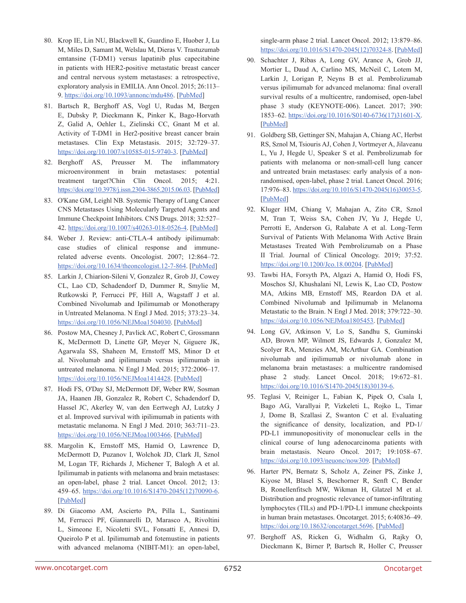- 80. Krop IE, Lin NU, Blackwell K, Guardino E, Huober J, Lu M, Miles D, Samant M, Welslau M, Dieras V. Trastuzumab emtansine (T-DM1) versus lapatinib plus capecitabine in patients with HER2-positive metastatic breast cancer and central nervous system metastases: a retrospective, exploratory analysis in EMILIA. Ann Oncol. 2015; 26:113– 9. https://doi.org/10.1093/annonc/mdu486. [\[PubMed\]](https://www.ncbi.nlm.nih.gov/pubmed/25355722)
- 81. Bartsch R, Berghoff AS, Vogl U, Rudas M, Bergen E, Dubsky P, Dieckmann K, Pinker K, Bago-Horvath Z, Galid A, Oehler L, Zielinski CC, Gnant M et al. Activity of T-DM1 in Her2-positive breast cancer brain metastases. Clin Exp Metastasis. 2015; 32:729–37. https://doi.org/10.1007/s10585-015-9740-3. [\[PubMed\]](https://www.ncbi.nlm.nih.gov/pubmed/26303828)
- 82. Berghoff AS, Preusser M. The inflammatory microenvironment in brain metastases: potential treatment target?Chin Clin Oncol. 2015; 4:21. https://doi.org/10.3978/j.issn.2304-3865.2015.06.03. [\[PubMed\]](https://www.ncbi.nlm.nih.gov/pubmed/26112807)
- 83. O'Kane GM, Leighl NB. Systemic Therapy of Lung Cancer CNS Metastases Using Molecularly Targeted Agents and Immune Checkpoint Inhibitors. CNS Drugs. 2018; 32:527– 42. https://doi.org/10.1007/s40263-018-0526-4. [\[PubMed\]](https://www.ncbi.nlm.nih.gov/pubmed/29799091)
- 84. Weber J. Review: anti-CTLA-4 antibody ipilimumab: case studies of clinical response and immunerelated adverse events. Oncologist. 2007; 12:864–72. https://doi.org/10.1634/theoncologist.12-7-864. [\[PubMed\]](https://www.ncbi.nlm.nih.gov/pubmed/17673617)
- 85. Larkin J, Chiarion-Sileni V, Gonzalez R, Grob JJ, Cowey CL, Lao CD, Schadendorf D, Dummer R, Smylie M, Rutkowski P, Ferrucci PF, Hill A, Wagstaff J et al. Combined Nivolumab and Ipilimumab or Monotherapy in Untreated Melanoma. N Engl J Med. 2015; 373:23–34. https://doi.org/10.1056/NEJMoa1504030. [\[PubMed\]](https://www.ncbi.nlm.nih.gov/pubmed/26027431)
- 86. Postow MA, Chesney J, Pavlick AC, Robert C, Grossmann K, McDermott D, Linette GP, Meyer N, Giguere JK, Agarwala SS, Shaheen M, Ernstoff MS, Minor D et al. Nivolumab and ipilimumab versus ipilimumab in untreated melanoma. N Engl J Med. 2015; 372:2006–17. https://doi.org/10.1056/NEJMoa1414428. [\[PubMed\]](https://www.ncbi.nlm.nih.gov/pubmed/25891304)
- 87. Hodi FS, O'Day SJ, McDermott DF, Weber RW, Sosman JA, Haanen JB, Gonzalez R, Robert C, Schadendorf D, Hassel JC, Akerley W, van den Eertwegh AJ, Lutzky J et al. Improved survival with ipilimumab in patients with metastatic melanoma. N Engl J Med. 2010; 363:711–23. https://doi.org/10.1056/NEJMoa1003466. [\[PubMed\]](https://www.ncbi.nlm.nih.gov/pubmed/20525992)
- 88. Margolin K, Ernstoff MS, Hamid O, Lawrence D, McDermott D, Puzanov I, Wolchok JD, Clark JI, Sznol M, Logan TF, Richards J, Michener T, Balogh A et al. Ipilimumab in patients with melanoma and brain metastases: an open-label, phase 2 trial. Lancet Oncol. 2012; 13: 459–65. [https://doi.org/10.1016/S1470-2045\(12\)70090-6](https://doi.org/10.1016/S1470-2045(12)70090-6). [\[PubMed\]](https://www.ncbi.nlm.nih.gov/pubmed/22456429)
- 89. Di Giacomo AM, Ascierto PA, Pilla L, Santinami M, Ferrucci PF, Giannarelli D, Marasco A, Rivoltini L, Simeone E, Nicoletti SVL, Fonsatti E, Annesi D, Queirolo P et al. Ipilimumab and fotemustine in patients with advanced melanoma (NIBIT-M1): an open-label,

single-arm phase 2 trial. Lancet Oncol. 2012; 13:879–86. [https://doi.org/10.1016/S1470-2045\(12\)70324-8.](https://doi.org/10.1016/S1470-2045(12)70324-8) [\[PubMed\]](https://www.ncbi.nlm.nih.gov/pubmed/22894884)

- 90. Schachter J, Ribas A, Long GV, Arance A, Grob JJ, Mortier L, Daud A, Carlino MS, McNeil C, Lotem M, Larkin J, Lorigan P, Neyns B et al. Pembrolizumab versus ipilimumab for advanced melanoma: final overall survival results of a multicentre, randomised, open-label phase 3 study (KEYNOTE-006). Lancet. 2017; 390: 1853–62. [https://doi.org/10.1016/S0140-6736\(17\)31601-X.](https://doi.org/10.1016/S0140-6736(17)31601-X) [\[PubMed\]](https://www.ncbi.nlm.nih.gov/pubmed/28822576)
- 91. Goldberg SB, Gettinger SN, Mahajan A, Chiang AC, Herbst RS, Sznol M, Tsiouris AJ, Cohen J, Vortmeyer A, Jilaveanu L, Yu J, Hegde U, Speaker S et al. Pembrolizumab for patients with melanoma or non-small-cell lung cancer and untreated brain metastases: early analysis of a nonrandomised, open-label, phase 2 trial. Lancet Oncol. 2016; 17:976–83. [https://doi.org/10.1016/S1470-2045\(16\)30053-5.](https://doi.org/10.1016/S1470-2045(16)30053-5) [\[PubMed\]](https://www.ncbi.nlm.nih.gov/pubmed/27267608)
- 92. Kluger HM, Chiang V, Mahajan A, Zito CR, Sznol M, Tran T, Weiss SA, Cohen JV, Yu J, Hegde U, Perrotti E, Anderson G, Ralabate A et al. Long-Term Survival of Patients With Melanoma With Active Brain Metastases Treated With Pembrolizumab on a Phase II Trial. Journal of Clinical Oncology. 2019; 37:52. https://doi.org/10.1200/Jco.18.00204. [\[PubMed\]](https://www.ncbi.nlm.nih.gov/pubmed/30407895)
- 93. Tawbi HA, Forsyth PA, Algazi A, Hamid O, Hodi FS, Moschos SJ, Khushalani NI, Lewis K, Lao CD, Postow MA, Atkins MB, Ernstoff MS, Reardon DA et al. Combined Nivolumab and Ipilimumab in Melanoma Metastatic to the Brain. N Engl J Med. 2018; 379:722–30. https://doi.org/10.1056/NEJMoa1805453. [\[PubMed\]](https://www.ncbi.nlm.nih.gov/pubmed/30134131)
- 94. Long GV, Atkinson V, Lo S, Sandhu S, Guminski AD, Brown MP, Wilmott JS, Edwards J, Gonzalez M, Scolyer RA, Menzies AM, McArthur GA. Combination nivolumab and ipilimumab or nivolumab alone in melanoma brain metastases: a multicentre randomised phase 2 study. Lancet Oncol. 2018; 19:672–81. [https://doi.org/10.1016/S1470-2045\(18\)30139-6](https://doi.org/10.1016/S1470-2045(18)30139-6).
- 95. Teglasi V, Reiniger L, Fabian K, Pipek O, Csala I, Bago AG, Varallyai P, Vizkeleti L, Rojko L, Timar J, Dome B, Szallasi Z, Swanton C et al. Evaluating the significance of density, localization, and PD-1/ PD-L1 immunopositivity of mononuclear cells in the clinical course of lung adenocarcinoma patients with brain metastasis. Neuro Oncol. 2017; 19:1058–67. https://doi.org/10.1093/neuonc/now309. [\[PubMed\]](https://www.ncbi.nlm.nih.gov/pubmed/28201746)
- 96. Harter PN, Bernatz S, Scholz A, Zeiner PS, Zinke J, Kiyose M, Blasel S, Beschorner R, Senft C, Bender B, Ronellenfitsch MW, Wikman H, Glatzel M et al. Distribution and prognostic relevance of tumor-infiltrating lymphocytes (TILs) and PD-1/PD-L1 immune checkpoints in human brain metastases. Oncotarget. 2015; 6:40836–49. https://doi.org/10.18632/oncotarget.5696. [\[PubMed\]](https://www.ncbi.nlm.nih.gov/pubmed/26517811)
- 97. Berghoff AS, Ricken G, Widhalm G, Rajky O, Dieckmann K, Birner P, Bartsch R, Holler C, Preusser